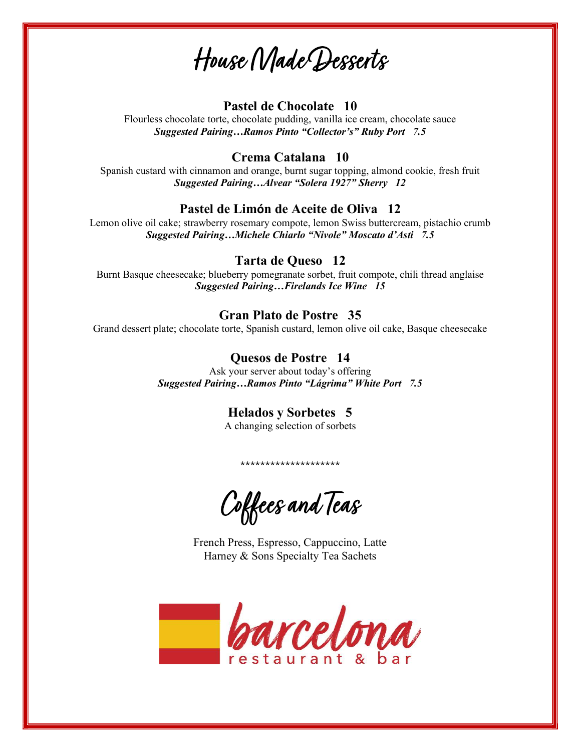House Made Desserts

### Pastel de Chocolate 10

Flourless chocolate torte, chocolate pudding, vanilla ice cream, chocolate sauce Suggested Pairing…Ramos Pinto "Collector's" Ruby Port 7.5

### Crema Catalana 10

Spanish custard with cinnamon and orange, burnt sugar topping, almond cookie, fresh fruit Suggested Pairing…Alvear "Solera 1927" Sherry 12

### Pastel de Limón de Aceite de Oliva 12

Lemon olive oil cake; strawberry rosemary compote, lemon Swiss buttercream, pistachio crumb Suggested Pairing…Michele Chiarlo "Nivole" Moscato d'Asti 7.5

# Tarta de Queso 12

Burnt Basque cheesecake; blueberry pomegranate sorbet, fruit compote, chili thread anglaise Suggested Pairing…Firelands Ice Wine 15

### Gran Plato de Postre 35

Grand dessert plate; chocolate torte, Spanish custard, lemon olive oil cake, Basque cheesecake

# Quesos de Postre 14

Ask your server about today's offering Suggested Pairing…Ramos Pinto "Lágrima" White Port 7.5

# Helados y Sorbetes 5

A changing selection of sorbets

\*\*\*\*\*\*\*\*\*\*\*\*\*\*\*\*\*\*\*\*\*\*

Coffees and Teas

French Press, Espresso, Cappuccino, Latte Harney & Sons Specialty Tea Sachets